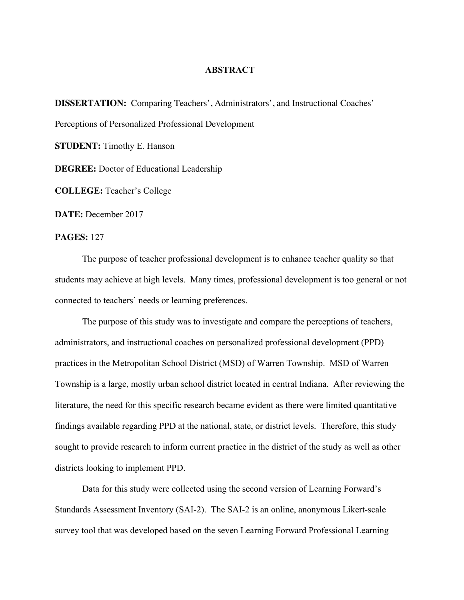## **ABSTRACT**

**DISSERTATION:** Comparing Teachers', Administrators', and Instructional Coaches' Perceptions of Personalized Professional Development **STUDENT:** Timothy E. Hanson **DEGREE:** Doctor of Educational Leadership **COLLEGE:** Teacher's College

**DATE:** December 2017

## **PAGES:** 127

The purpose of teacher professional development is to enhance teacher quality so that students may achieve at high levels. Many times, professional development is too general or not connected to teachers' needs or learning preferences.

The purpose of this study was to investigate and compare the perceptions of teachers, administrators, and instructional coaches on personalized professional development (PPD) practices in the Metropolitan School District (MSD) of Warren Township. MSD of Warren Township is a large, mostly urban school district located in central Indiana. After reviewing the literature, the need for this specific research became evident as there were limited quantitative findings available regarding PPD at the national, state, or district levels. Therefore, this study sought to provide research to inform current practice in the district of the study as well as other districts looking to implement PPD.

Data for this study were collected using the second version of Learning Forward's Standards Assessment Inventory (SAI-2). The SAI-2 is an online, anonymous Likert-scale survey tool that was developed based on the seven Learning Forward Professional Learning